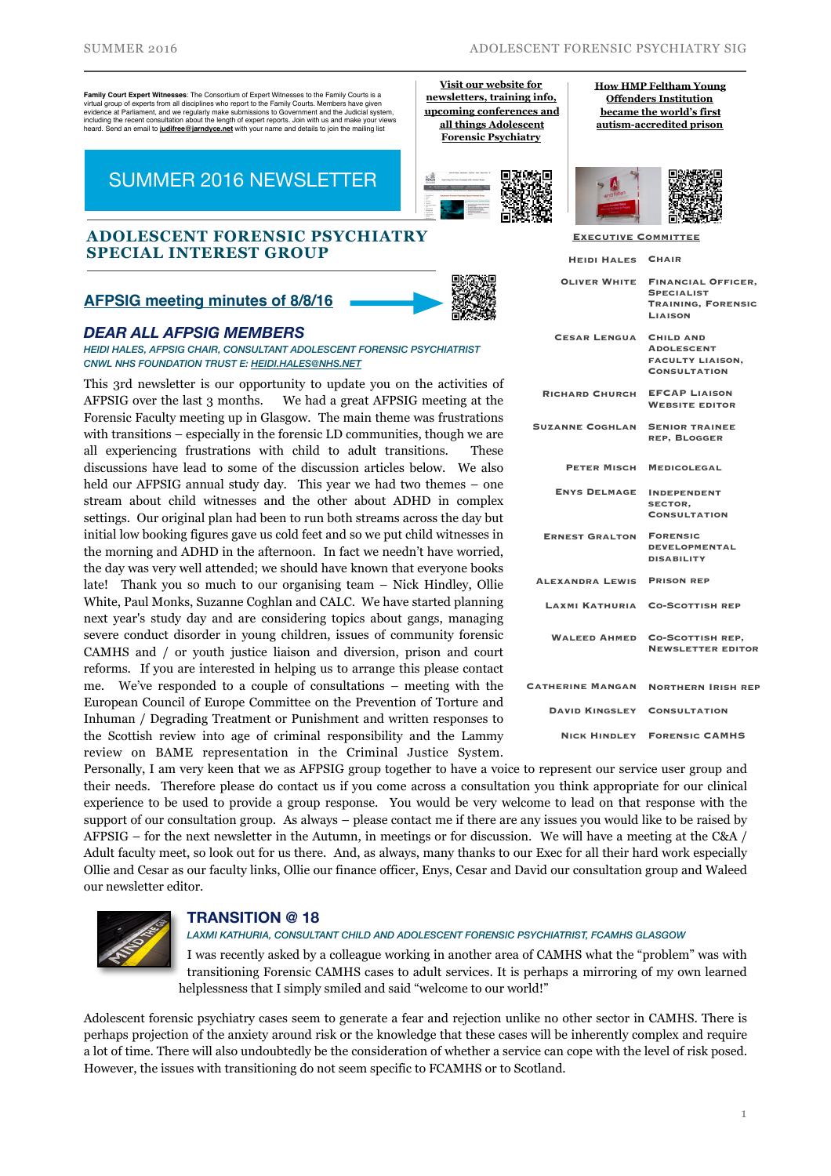**Family Court Expert Witnesses**: The Consortium of Expert Witnesses to the Family Courts is a virtual group of expert transcesse: The concentration of Expert transcesse to the Family Courts. Members have given evidence at Parliament, and we regularly make submissions to Government and the Judicial system,<br>including the recent consultation about the length of expert reports. Join with us and make your views<br>heard. Send an email t

# SUMMER 2016 NEWSLETTER

#### **ADOLESCENT FORENSIC PSYCHIATRY SPECIAL INTEREST GROUP**

### **[AFPSIG meeting minutes of 8/8/16](http://www.rcpsych.ac.uk/workinpsychiatry/specialinterestgroups/adolescentforensicpsychiatry/aboutus.aspx#newsdoc)**



**Visit our website for newsletters, training info, [upcoming conferences and](http://www.rcpsych.ac.uk/workinpsychiatry/specialinterestgroups/adolescentforensicpsychiatry.aspx)  all things Adolescent Forensic Psychiatry**

### *DEAR ALL AFPSIG MEMBERS*

*HEIDI HALES, AFPSIG CHAIR, CONSULTANT ADOLESCENT FORENSIC PSYCHIATRIST CNWL NHS FOUNDATION TRUST E: [HEIDI.HALES@NHS.NET](mailto:heidi.hales@nhs.net)*

This 3rd newsletter is our opportunity to update you on the activities of AFPSIG over the last 3 months. We had a great AFPSIG meeting at the Forensic Faculty meeting up in Glasgow. The main theme was frustrations with transitions – especially in the forensic LD communities, though we are all experiencing frustrations with child to adult transitions. These discussions have lead to some of the discussion articles below. We also held our AFPSIG annual study day. This year we had two themes – one stream about child witnesses and the other about ADHD in complex settings. Our original plan had been to run both streams across the day but initial low booking figures gave us cold feet and so we put child witnesses in the morning and ADHD in the afternoon. In fact we needn't have worried, the day was very well attended; we should have known that everyone books late! Thank you so much to our organising team – Nick Hindley, Ollie White, Paul Monks, Suzanne Coghlan and CALC. We have started planning next year's study day and are considering topics about gangs, managing severe conduct disorder in young children, issues of community forensic CAMHS and / or youth justice liaison and diversion, prison and court reforms. If you are interested in helping us to arrange this please contact me. We've responded to a couple of consultations – meeting with the European Council of Europe Committee on the Prevention of Torture and Inhuman / Degrading Treatment or Punishment and written responses to the Scottish review into age of criminal responsibility and the Lammy review on BAME representation in the Criminal Justice System.

**[How HMP Feltham Young](https://medium.com/mental-health-in-london/how-hmp-feltham-young-offenders-institution-became-the-worlds-first-autism-accredited-prison-4d21a6064efe#)  Offenders Institution became the world's first autism-accredited prison**



**Executive Committee**

| <b>OLIVER WHITE</b><br><b>SPECIALIST</b><br><b>LIAISON</b><br><b>CESAR LENGUA</b><br><b>CHILD AND</b><br><b>ADOLESCENT</b><br><b>FACULTY LIAISON,</b><br><b>CONSULTATION</b><br><b>EFCAP LIAISON</b><br><b>RICHARD CHURCH</b><br><b>WEBSITE EDITOR</b><br><b>SUZANNE COGHLAN</b><br><b>SENIOR TRAINEE</b><br><b>REP, BLOGGER</b><br><b>PETER MISCH</b><br><b>MEDICOLEGAL</b><br><b>ENYS DELMAGE</b><br><b>INDEPENDENT</b><br><b>SECTOR.</b><br><b>CONSULTATION</b><br><b>FORENSIC</b><br><b>ERNEST GRALTON</b><br><b>DEVELOPMENTAL</b><br><b>DISABILITY</b><br><b>ALEXANDRA LEWIS</b><br><b>PRISON REP</b><br>LAXMI KATHURIA<br><b>CO-SCOTTISH REP</b><br><b>CO-SCOTTISH REP,</b><br><b>WALEED AHMED</b><br><b>CATHERINE MANGAN</b><br><b>DAVID KINGSLEY</b><br><b>CONSULTATION</b> | <b>HEIDI HALES</b> | <b>CHAIR</b>                                           |
|-------------------------------------------------------------------------------------------------------------------------------------------------------------------------------------------------------------------------------------------------------------------------------------------------------------------------------------------------------------------------------------------------------------------------------------------------------------------------------------------------------------------------------------------------------------------------------------------------------------------------------------------------------------------------------------------------------------------------------------------------------------------------------------|--------------------|--------------------------------------------------------|
|                                                                                                                                                                                                                                                                                                                                                                                                                                                                                                                                                                                                                                                                                                                                                                                     |                    | <b>FINANCIAL OFFICER,</b><br><b>TRAINING, FORENSIC</b> |
|                                                                                                                                                                                                                                                                                                                                                                                                                                                                                                                                                                                                                                                                                                                                                                                     |                    |                                                        |
|                                                                                                                                                                                                                                                                                                                                                                                                                                                                                                                                                                                                                                                                                                                                                                                     |                    |                                                        |
|                                                                                                                                                                                                                                                                                                                                                                                                                                                                                                                                                                                                                                                                                                                                                                                     |                    |                                                        |
|                                                                                                                                                                                                                                                                                                                                                                                                                                                                                                                                                                                                                                                                                                                                                                                     |                    |                                                        |
|                                                                                                                                                                                                                                                                                                                                                                                                                                                                                                                                                                                                                                                                                                                                                                                     |                    |                                                        |
|                                                                                                                                                                                                                                                                                                                                                                                                                                                                                                                                                                                                                                                                                                                                                                                     |                    |                                                        |
|                                                                                                                                                                                                                                                                                                                                                                                                                                                                                                                                                                                                                                                                                                                                                                                     |                    |                                                        |
|                                                                                                                                                                                                                                                                                                                                                                                                                                                                                                                                                                                                                                                                                                                                                                                     |                    |                                                        |
|                                                                                                                                                                                                                                                                                                                                                                                                                                                                                                                                                                                                                                                                                                                                                                                     |                    | <b>NEWSLETTER EDITOR</b>                               |
|                                                                                                                                                                                                                                                                                                                                                                                                                                                                                                                                                                                                                                                                                                                                                                                     |                    | <b>NORTHERN IRISH REP</b>                              |
|                                                                                                                                                                                                                                                                                                                                                                                                                                                                                                                                                                                                                                                                                                                                                                                     |                    |                                                        |
| <b>NICK HINDLEY</b><br><b>FORENSIC CAMHS</b>                                                                                                                                                                                                                                                                                                                                                                                                                                                                                                                                                                                                                                                                                                                                        |                    |                                                        |

Personally, I am very keen that we as AFPSIG group together to have a voice to represent our service user group and their needs. Therefore please do contact us if you come across a consultation you think appropriate for our clinical experience to be used to provide a group response. You would be very welcome to lead on that response with the support of our consultation group. As always – please contact me if there are any issues you would like to be raised by AFPSIG – for the next newsletter in the Autumn, in meetings or for discussion. We will have a meeting at the C&A / Adult faculty meet, so look out for us there. And, as always, many thanks to our Exec for all their hard work especially Ollie and Cesar as our faculty links, Ollie our finance officer, Enys, Cesar and David our consultation group and Waleed our newsletter editor.



### **TRANSITION @ 18**

*LAXMI KATHURIA, CONSULTANT CHILD AND ADOLESCENT FORENSIC PSYCHIATRIST, FCAMHS GLASGOW* 

I was recently asked by a colleague working in another area of CAMHS what the "problem" was with transitioning Forensic CAMHS cases to adult services. It is perhaps a mirroring of my own learned helplessness that I simply smiled and said "welcome to our world!"

Adolescent forensic psychiatry cases seem to generate a fear and rejection unlike no other sector in CAMHS. There is perhaps projection of the anxiety around risk or the knowledge that these cases will be inherently complex and require a lot of time. There will also undoubtedly be the consideration of whether a service can cope with the level of risk posed. However, the issues with transitioning do not seem specific to FCAMHS or to Scotland.